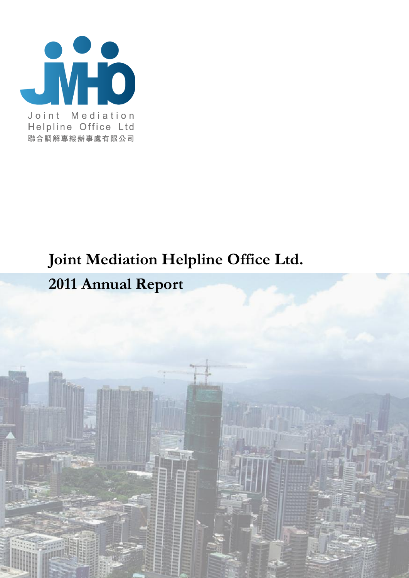

# **Joint Mediation Helpline Office Ltd.**

# **2011 Annual Report**

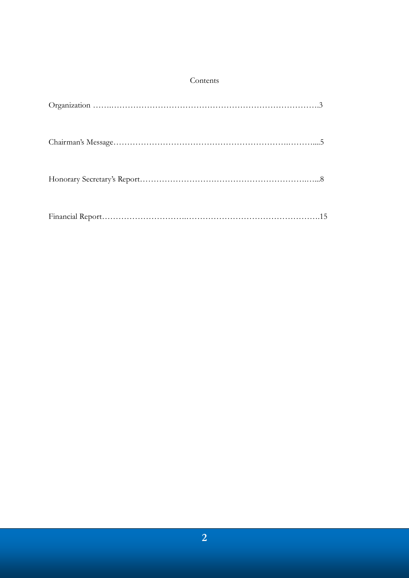| Contents |
|----------|
|          |
|          |
|          |
|          |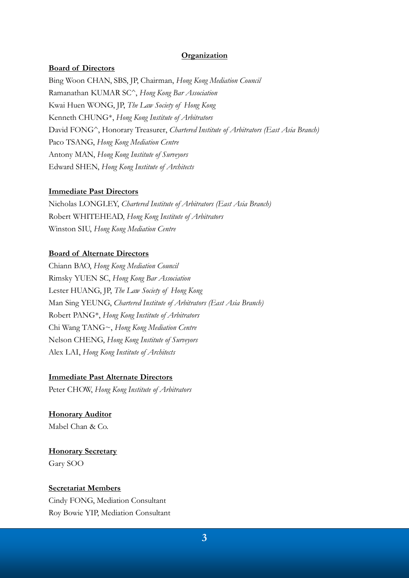## **Organization**

## **Board of Directors**

Bing Woon CHAN, SBS, JP, Chairman, *Hong Kong Mediation Council* Ramanathan KUMAR SC^, *Hong Kong Bar Association* Kwai Huen WONG, JP, *The Law Society of Hong Kong* Kenneth CHUNG\*, *Hong Kong Institute of Arbitrators* David FONG^, Honorary Treasurer, *Chartered Institute of Arbitrators (East Asia Branch)* Paco TSANG, *Hong Kong Mediation Centre* Antony MAN, *Hong Kong Institute of Surveyors* Edward SHEN, *Hong Kong Institute of Architects*

## **Immediate Past Directors**

Nicholas LONGLEY, *Chartered Institute of Arbitrators (East Asia Branch)* Robert WHITEHEAD, *Hong Kong Institute of Arbitrators* Winston SIU, *Hong Kong Mediation Centre*

## **Board of Alternate Directors**

Chiann BAO, *Hong Kong Mediation Council* Rimsky YUEN SC, *Hong Kong Bar Association* Lester HUANG, JP, *The Law Society of Hong Kong* Man Sing YEUNG, *Chartered Institute of Arbitrators (East Asia Branch)* Robert PANG\*, *Hong Kong Institute of Arbitrators* Chi Wang TANG~, *Hong Kong Mediation Centre* Nelson CHENG, *Hong Kong Institute of Surveyors* Alex LAI, *Hong Kong Institute of Architects*

#### **Immediate Past Alternate Directors**

Peter CHOW, *Hong Kong Institute of Arbitrators*

**Honorary Auditor** Mabel Chan & Co.

**Honorary Secretary** Gary SOO

### **Secretariat Members**

Cindy FONG, Mediation Consultant Roy Bowie YIP, Mediation Consultant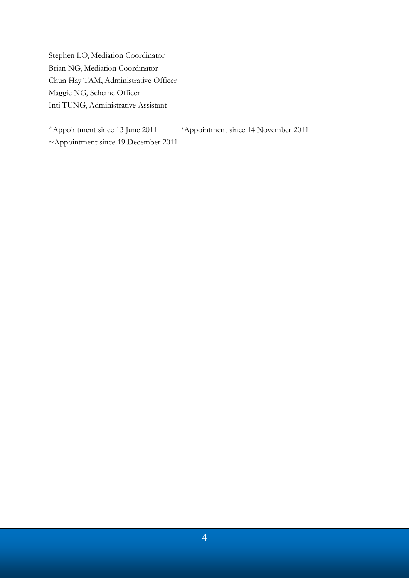Stephen LO, Mediation Coordinator Brian NG, Mediation Coordinator Chun Hay TAM, Administrative Officer Maggie NG, Scheme Officer Inti TUNG, Administrative Assistant

^Appointment since 13 June 2011 \*Appointment since 14 November 2011 ~Appointment since 19 December 2011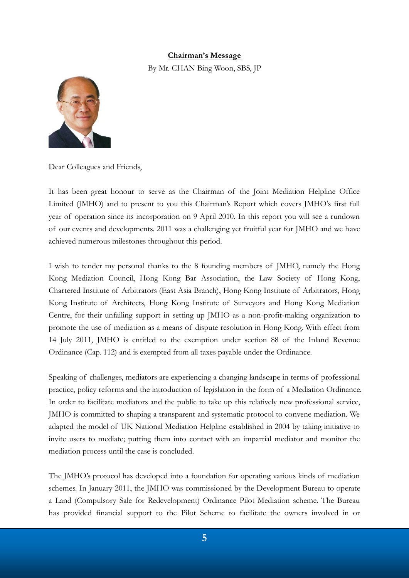## **Chairman's Message**

By Mr. CHAN Bing Woon, SBS, JP



Dear Colleagues and Friends,

It has been great honour to serve as the Chairman of the Joint Mediation Helpline Office Limited (JMHO) and to present to you this Chairman's Report which covers JMHO's first full year of operation since its incorporation on 9 April 2010. In this report you will see a rundown of our events and developments. 2011 was a challenging yet fruitful year for JMHO and we have achieved numerous milestones throughout this period.

I wish to tender my personal thanks to the 8 founding members of JMHO, namely the Hong Kong Mediation Council, Hong Kong Bar Association, the Law Society of Hong Kong, Chartered Institute of Arbitrators (East Asia Branch), Hong Kong Institute of Arbitrators, Hong Kong Institute of Architects, Hong Kong Institute of Surveyors and Hong Kong Mediation Centre, for their unfailing support in setting up JMHO as a non-profit-making organization to promote the use of mediation as a means of dispute resolution in Hong Kong. With effect from 14 July 2011, JMHO is entitled to the exemption under section 88 of the Inland Revenue Ordinance (Cap. 112) and is exempted from all taxes payable under the Ordinance.

Speaking of challenges, mediators are experiencing a changing landscape in terms of professional practice, policy reforms and the introduction of legislation in the form of a Mediation Ordinance. In order to facilitate mediators and the public to take up this relatively new professional service, JMHO is committed to shaping a transparent and systematic protocol to convene mediation. We adapted the model of UK National Mediation Helpline established in 2004 by taking initiative to invite users to mediate; putting them into contact with an impartial mediator and monitor the mediation process until the case is concluded.

The JMHO's protocol has developed into a foundation for operating various kinds of mediation schemes. In January 2011, the JMHO was commissioned by the Development Bureau to operate a Land (Compulsory Sale for Redevelopment) Ordinance Pilot Mediation scheme. The Bureau has provided financial support to the Pilot Scheme to facilitate the owners involved in or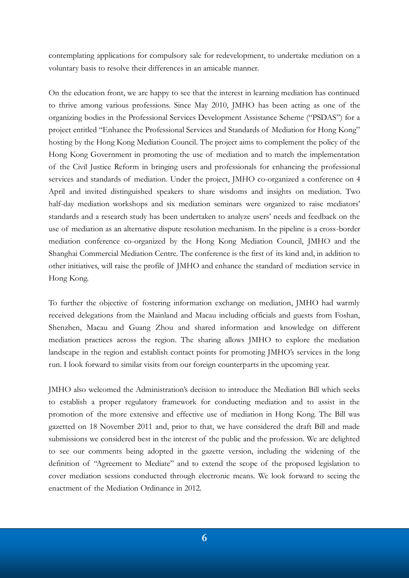contemplating applications for compulsory sale for redevelopment, to undertake mediation on a voluntary basis to resolve their differences in an amicable manner.

On the education front, we are happy to see that the interest in learning mediation has continued to thrive among various professions. Since May 2010, JMHO has been acting as one of the organizing bodies in the Professional Services Development Assistance Scheme ("PSDAS") for a project entitled "Enhance the Professional Services and Standards of Mediation for Hong Kong" hosting by the Hong Kong Mediation Council. The project aims to complement the policy of the Hong Kong Government in promoting the use of mediation and to match the implementation of the Civil Justice Reform in bringing users and professionals for enhancing the professional services and standards of mediation. Under the project, JMHO co-organized a conference on 4 April and invited distinguished speakers to share wisdoms and insights on mediation. Two half-day mediation workshops and six mediation seminars were organized to raise mediators' standards and a research study has been undertaken to analyze users' needs and feedback on the use of mediation as an alternative dispute resolution mechanism. In the pipeline is a cross-border mediation conference co-organized by the Hong Kong Mediation Council, JMHO and the Shanghai Commercial Mediation Centre. The conference is the first of its kind and, in addition to other initiatives, will raise the profile of JMHO and enhance the standard of mediation service in Hong Kong.

To further the objective of fostering information exchange on mediation, JMHO had warmly received delegations from the Mainland and Macau including officials and guests from Foshan, Shenzhen, Macau and Guang Zhou and shared information and knowledge on different mediation practices across the region. The sharing allows JMHO to explore the mediation landscape in the region and establish contact points for promoting JMHO's services in the long run. I look forward to similar visits from our foreign counterparts in the upcoming year.

JMHO also welcomed the Administration's decision to introduce the Mediation Bill which seeks to establish a proper regulatory framework for conducting mediation and to assist in the promotion of the more extensive and effective use of mediation in Hong Kong. The Bill was gazetted on 18 November 2011 and, prior to that, we have considered the draft Bill and made submissions we considered best in the interest of the public and the profession. We are delighted to see our comments being adopted in the gazette version, including the widening of the definition of "Agreement to Mediate" and to extend the scope of the proposed legislation to cover mediation sessions conducted through electronic means. We look forward to seeing the enactment of the Mediation Ordinance in 2012.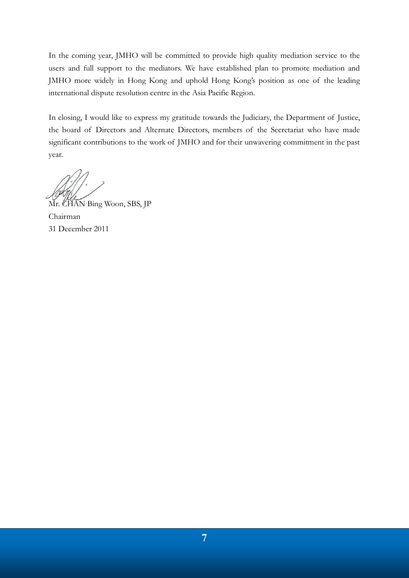In the coming year, JMHO will be committed to provide high quality mediation service to the users and full support to the mediators. We have established plan to promote mediation and JMHO more widely in Hong Kong and uphold Hong Kong's position as one of the leading international dispute resolution centre in the Asia Pacific Region.

In closing, I would like to express my gratitude towards the Judiciary, the Department of Justice, the board of Directors and Alternate Directors, members of the Secretariat who have made significant contributions to the work of JMHO and for their unwavering commitment in the past year.

Mr. CHAN Bing Woon, SBS, JP Chairman 31 December 2011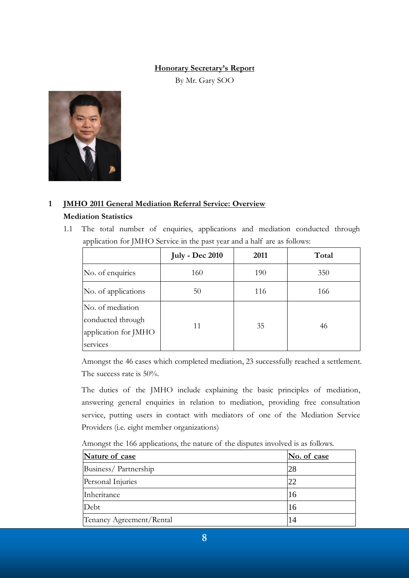## **Honorary Secretary's Report**

By Mr. Gary SOO



# **1 JMHO 2011 General Mediation Referral Service: Overview Mediation Statistics**

1.1 The total number of enquiries, applications and mediation conducted through application for JMHO Service in the past year and a half are as follows:

|                                                                           | <b>July - Dec 2010</b> | 2011 | Total |
|---------------------------------------------------------------------------|------------------------|------|-------|
| No. of enquiries                                                          | 160                    | 190  | 350   |
| No. of applications                                                       | 50                     | 116  | 166   |
| No. of mediation<br>conducted through<br>application for JMHO<br>services | 11                     | 35   | 46    |

Amongst the 46 cases which completed mediation, 23 successfully reached a settlement. The success rate is 50%.

The duties of the JMHO include explaining the basic principles of mediation, answering general enquiries in relation to mediation, providing free consultation service, putting users in contact with mediators of one of the Mediation Service Providers (i.e. eight member organizations)

Amongst the 166 applications, the nature of the disputes involved is as follows.

| Nature of case           | No. of case |
|--------------------------|-------------|
| Business/Partnership     | 28          |
| Personal Injuries        |             |
| Inheritance              | 16          |
| Debt                     | 16          |
| Tenancy Agreement/Rental |             |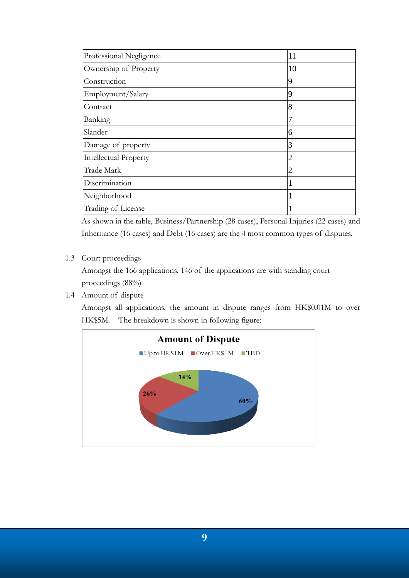| Professional Negligence      | 11             |
|------------------------------|----------------|
| Ownership of Property        | 10             |
| Construction                 | 9              |
| Employment/Salary            | 9              |
| Contract                     | 8              |
| Banking                      | 7              |
| Slander                      | 6              |
| Damage of property           | $\overline{3}$ |
| <b>Intellectual Property</b> | $\overline{c}$ |
| Trade Mark                   | 2              |
| Discrimination               |                |
| Neighborhood                 |                |
| Trading of License           |                |

As shown in the table, Business/Partnership (28 cases), Personal Injuries (22 cases) and Inheritance (16 cases) and Debt (16 cases) are the 4 most common types of disputes.

## 1.3 Court proceedings

Amongst the 166 applications, 146 of the applications are with standing court proceedings (88%)

## 1.4 Amount of dispute

Amongst all applications, the amount in dispute ranges from HK\$0.01M to over HK\$5M. The breakdown is shown in following figure:

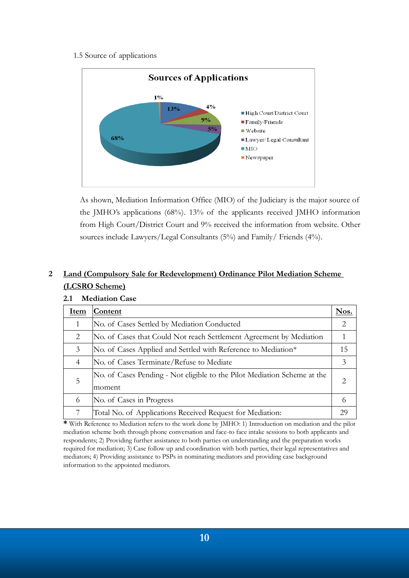## 1.5 Source of applications



As shown, Mediation Information Office (MIO) of the Judiciary is the major source of the JMHO's applications (68%). 13% of the applicants received JMHO information from High Court/District Court and 9% received the information from website. Other sources include Lawyers/Legal Consultants (5%) and Family/ Friends (4%).

# **2 Land (Compulsory Sale for Redevelopment) Ordinance Pilot Mediation Scheme (LCSRO Scheme)**

| <u>Item</u> | Content                                                                  | Nos. |
|-------------|--------------------------------------------------------------------------|------|
| 1           | No. of Cases Settled by Mediation Conducted                              | 2    |
| 2           | No. of Cases that Could Not reach Settlement Agreement by Mediation      |      |
| 3           | No. of Cases Applied and Settled with Reference to Mediation*            | 15   |
| 4           | No. of Cases Terminate/Refuse to Mediate                                 | 3    |
| 5           | No. of Cases Pending - Not eligible to the Pilot Mediation Scheme at the | 2    |
|             | moment                                                                   |      |
| 6           | No. of Cases in Progress                                                 | 6    |
|             | Total No. of Applications Received Request for Mediation:                | 29   |

## **2.1 Mediation Case**

**\*** With Reference to Mediation refers to the work done by JMHO: 1) Introduction on mediation and the pilot mediation scheme both through phone conversation and face-to face intake sessions to both applicants and respondents; 2) Providing further assistance to both parties on understanding and the preparation works required for mediation; 3) Case follow up and coordination with both parties, their legal representatives and mediators; 4) Providing assistance to PSPs in nominating mediators and providing case background information to the appointed mediators.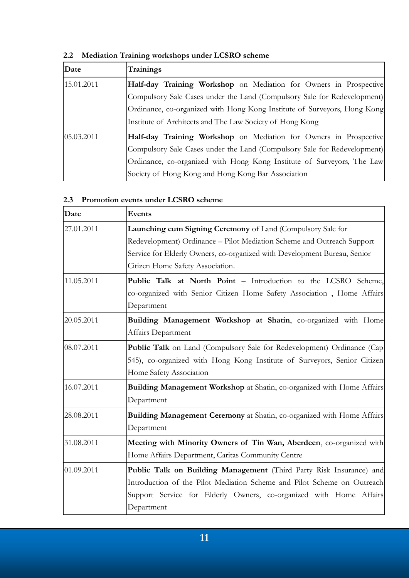|  |  |  |  | 2.2 Mediation Training workshops under LCSRO scheme |  |
|--|--|--|--|-----------------------------------------------------|--|
|--|--|--|--|-----------------------------------------------------|--|

| Date       | Trainings                                                                                                                                            |  |  |  |
|------------|------------------------------------------------------------------------------------------------------------------------------------------------------|--|--|--|
| 15.01.2011 | Half-day Training Workshop on Mediation for Owners in Prospective                                                                                    |  |  |  |
|            | Compulsory Sale Cases under the Land (Compulsory Sale for Redevelopment)<br>Ordinance, co-organized with Hong Kong Institute of Surveyors, Hong Kong |  |  |  |
|            |                                                                                                                                                      |  |  |  |
|            | Institute of Architects and The Law Society of Hong Kong                                                                                             |  |  |  |
| 05.03.2011 | Half-day Training Workshop on Mediation for Owners in Prospective                                                                                    |  |  |  |
|            | Compulsory Sale Cases under the Land (Compulsory Sale for Redevelopment)                                                                             |  |  |  |
|            | Ordinance, co-organized with Hong Kong Institute of Surveyors, The Law                                                                               |  |  |  |
|            | Society of Hong Kong and Hong Kong Bar Association                                                                                                   |  |  |  |

1

## **2.3 Promotion events under LCSRO scheme**

| Date       | <b>Events</b>                                                                  |
|------------|--------------------------------------------------------------------------------|
| 27.01.2011 | Launching cum Signing Ceremony of Land (Compulsory Sale for                    |
|            | Redevelopment) Ordinance - Pilot Mediation Scheme and Outreach Support         |
|            | Service for Elderly Owners, co-organized with Development Bureau, Senior       |
|            | Citizen Home Safety Association.                                               |
| 11.05.2011 | Public Talk at North Point - Introduction to the LCSRO Scheme,                 |
|            | co-organized with Senior Citizen Home Safety Association, Home Affairs         |
|            | Department                                                                     |
| 20.05.2011 | Building Management Workshop at Shatin, co-organized with Home                 |
|            | Affairs Department                                                             |
| 08.07.2011 | <b>Public Talk</b> on Land (Compulsory Sale for Redevelopment) Ordinance (Cap) |
|            | 545), co-organized with Hong Kong Institute of Surveyors, Senior Citizen       |
|            | Home Safety Association                                                        |
| 16.07.2011 | Building Management Workshop at Shatin, co-organized with Home Affairs         |
|            | Department                                                                     |
| 28.08.2011 | Building Management Ceremony at Shatin, co-organized with Home Affairs         |
|            | Department                                                                     |
| 31.08.2011 | Meeting with Minority Owners of Tin Wan, Aberdeen, co-organized with           |
|            | Home Affairs Department, Caritas Community Centre                              |
| 01.09.2011 | Public Talk on Building Management (Third Party Risk Insurance) and            |
|            | Introduction of the Pilot Mediation Scheme and Pilot Scheme on Outreach        |
|            | Support Service for Elderly Owners, co-organized with Home Affairs             |
|            | Department                                                                     |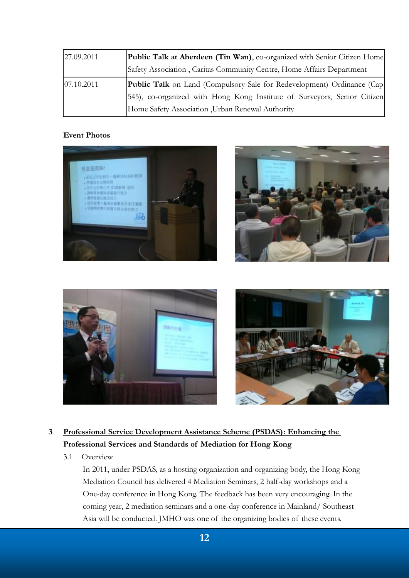| 27.09.2011 | Public Talk at Aberdeen (Tin Wan), co-organized with Senior Citizen Home       |
|------------|--------------------------------------------------------------------------------|
|            | Safety Association, Caritas Community Centre, Home Affairs Department          |
| 07.10.2011 | <b>Public Talk</b> on Land (Compulsory Sale for Redevelopment) Ordinance (Cap) |
|            | [545], co-organized with Hong Kong Institute of Surveyors, Senior Citizen]     |
|            | Home Safety Association , Urban Renewal Authority                              |

## **Event Photos**





# **3 Professional Service Development Assistance Scheme (PSDAS): Enhancing the Professional Services and Standards of Mediation for Hong Kong**

3.1 Overview

In 2011, under PSDAS, as a hosting organization and organizing body, the Hong Kong Mediation Council has delivered 4 Mediation Seminars, 2 half-day workshops and a One-day conference in Hong Kong. The feedback has been very encouraging. In the coming year, 2 mediation seminars and a one-day conference in Mainland/ Southeast Asia will be conducted. JMHO was one of the organizing bodies of these events.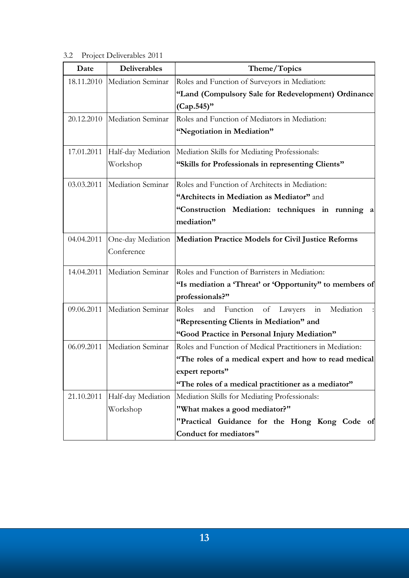# 3.2 Project Deliverables 2011

| Date       | <b>Deliverables</b>      | Theme/Topics                                                 |  |  |
|------------|--------------------------|--------------------------------------------------------------|--|--|
| 18.11.2010 | <b>Mediation Seminar</b> | Roles and Function of Surveyors in Mediation:                |  |  |
|            |                          | "Land (Compulsory Sale for Redevelopment) Ordinance          |  |  |
|            |                          | $(Cap.545)$ "                                                |  |  |
| 20.12.2010 | Mediation Seminar        | Roles and Function of Mediators in Mediation:                |  |  |
|            |                          | "Negotiation in Mediation"                                   |  |  |
| 17.01.2011 | Half-day Mediation       | Mediation Skills for Mediating Professionals:                |  |  |
|            | Workshop                 | "Skills for Professionals in representing Clients"           |  |  |
| 03.03.2011 | Mediation Seminar        | Roles and Function of Architects in Mediation:               |  |  |
|            |                          | "Architects in Mediation as Mediator" and                    |  |  |
|            |                          | "Construction Mediation: techniques in running a             |  |  |
|            |                          | mediation"                                                   |  |  |
| 04.04.2011 | One-day Mediation        | Mediation Practice Models for Civil Justice Reforms          |  |  |
|            | Conference               |                                                              |  |  |
| 14.04.2011 | Mediation Seminar        | Roles and Function of Barristers in Mediation:               |  |  |
|            |                          | "Is mediation a 'Threat' or 'Opportunity" to members of      |  |  |
|            |                          | professionals?"                                              |  |  |
| 09.06.2011 | Mediation Seminar        | Mediation<br>Roles<br>Function<br>and<br>of<br>Lawyers<br>in |  |  |
|            |                          | "Representing Clients in Mediation" and                      |  |  |
|            |                          | "Good Practice in Personal Injury Mediation"                 |  |  |
| 06.09.2011 | Mediation Seminar        | Roles and Function of Medical Practitioners in Mediation:    |  |  |
|            |                          | "The roles of a medical expert and how to read medical       |  |  |
|            |                          | expert reports"                                              |  |  |
|            |                          | "The roles of a medical practitioner as a mediator"          |  |  |
| 21.10.2011 | Half-day Mediation       | Mediation Skills for Mediating Professionals:                |  |  |
|            | Workshop                 | "What makes a good mediator?"                                |  |  |
|            |                          | "Practical Guidance for the Hong Kong Code of                |  |  |
|            |                          | Conduct for mediators"                                       |  |  |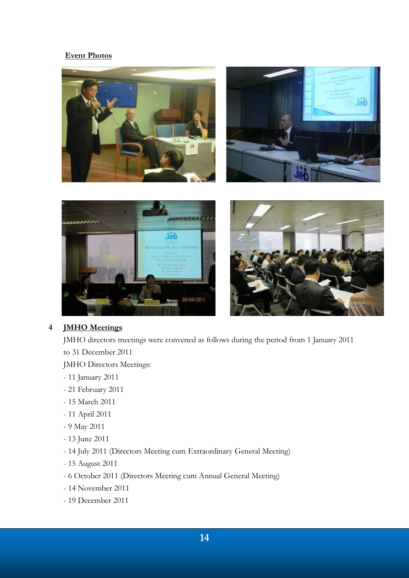## **Event Photos**









## **4 JMHO Meetings**

JMHO directors meetings were convened as follows during the period from 1 January 2011

to 31 December 2011

JMHO Directors Meetings:

- 11 January 2011
- 21 February 2011
- 15 March 2011
- 11 April 2011
- 9 May 2011
- 13 June 2011
- 14 July 2011 (Directors Meeting cum Extraordinary General Meeting)
- 15 August 2011
- 6 October 2011 (Directors Meeting cum Annual General Meeting)
- 14 November 2011
- 19 December 2011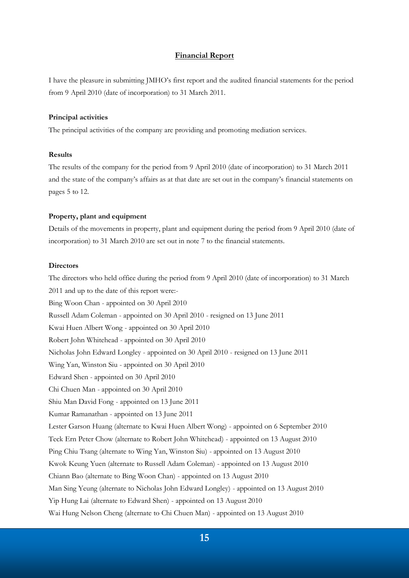## **Financial Report**

I have the pleasure in submitting JMHO's first report and the audited financial statements for the period from 9 April 2010 (date of incorporation) to 31 March 2011.

#### **Principal activities**

The principal activities of the company are providing and promoting mediation services.

#### **Results**

The results of the company for the period from 9 April 2010 (date of incorporation) to 31 March 2011 and the state of the company's affairs as at that date are set out in the company's financial statements on pages 5 to 12.

### **Property, plant and equipment**

Details of the movements in property, plant and equipment during the period from 9 April 2010 (date of incorporation) to 31 March 2010 are set out in note 7 to the financial statements.

### **Directors**

The directors who held office during the period from 9 April 2010 (date of incorporation) to 31 March 2011 and up to the date of this report were:- Bing Woon Chan - appointed on 30 April 2010 Russell Adam Coleman - appointed on 30 April 2010 - resigned on 13 June 2011 Kwai Huen Albert Wong - appointed on 30 April 2010 Robert John Whitehead - appointed on 30 April 2010 Nicholas John Edward Longley - appointed on 30 April 2010 - resigned on 13 June 2011 Wing Yan, Winston Siu - appointed on 30 April 2010 Edward Shen - appointed on 30 April 2010 Chi Chuen Man - appointed on 30 April 2010 Shiu Man David Fong - appointed on 13 June 2011 Kumar Ramanathan - appointed on 13 June 2011 Lester Garson Huang (alternate to Kwai Huen Albert Wong) - appointed on 6 September 2010 Teck Ern Peter Chow (alternate to Robert John Whitehead) - appointed on 13 August 2010 Ping Chiu Tsang (alternate to Wing Yan, Winston Siu) - appointed on 13 August 2010 Kwok Keung Yuen (alternate to Russell Adam Coleman) - appointed on 13 August 2010 Chiann Bao (alternate to Bing Woon Chan) - appointed on 13 August 2010 Man Sing Yeung (alternate to Nicholas John Edward Longley) - appointed on 13 August 2010 Yip Hung Lai (alternate to Edward Shen) - appointed on 13 August 2010 Wai Hung Nelson Cheng (alternate to Chi Chuen Man) - appointed on 13 August 2010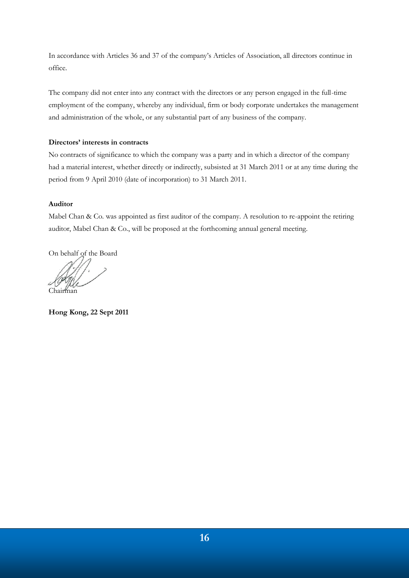In accordance with Articles 36 and 37 of the company's Articles of Association, all directors continue in office.

The company did not enter into any contract with the directors or any person engaged in the full-time employment of the company, whereby any individual, firm or body corporate undertakes the management and administration of the whole, or any substantial part of any business of the company.

## **Directors' interests in contracts**

No contracts of significance to which the company was a party and in which a director of the company had a material interest, whether directly or indirectly, subsisted at 31 March 2011 or at any time during the period from 9 April 2010 (date of incorporation) to 31 March 2011.

## **Auditor**

Mabel Chan & Co. was appointed as first auditor of the company. A resolution to re-appoint the retiring auditor, Mabel Chan & Co., will be proposed at the forthcoming annual general meeting.

On behalf of the Board

Chairman

**Hong Kong, 22 Sept 2011**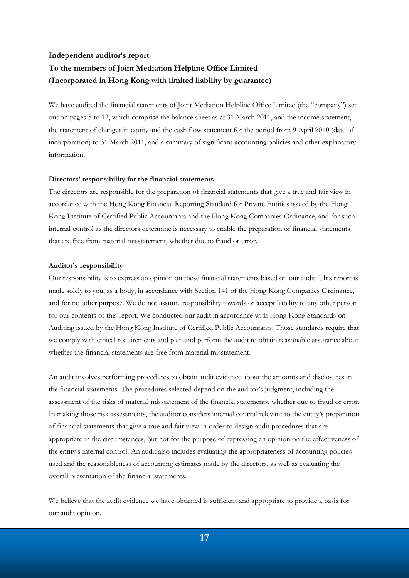# **Independent auditor's report To the members of Joint Mediation Helpline Office Limited (Incorporated in Hong Kong with limited liability by guarantee)**

We have audited the financial statements of Joint Mediation Helpline Office Limited (the "company") set out on pages 5 to 12, which comprise the balance sheet as at 31 March 2011, and the income statement, the statement of changes in equity and the cash flow statement for the period from 9 April 2010 (date of incorporation) to 31 March 2011, and a summary of significant accounting policies and other explanatory information.

#### **Directors' responsibility for the financial statements**

The directors are responsible for the preparation of financial statements that give a true and fair view in accordance with the Hong Kong Financial Reporting Standard for Private Entities issued by the Hong Kong Institute of Certified Public Accountants and the Hong Kong Companies Ordinance, and for such internal control as the directors determine is necessary to enable the preparation of financial statements that are free from material misstatement, whether due to fraud or error.

#### **Auditor's responsibility**

Our responsibility is to express an opinion on these financial statements based on our audit. This report is made solely to you, as a body, in accordance with Section 141 of the Hong Kong Companies Ordinance, and for no other purpose. We do not assume responsibility towards or accept liability to any other person for our contents of this report. We conducted our audit in accordance with Hong Kong Standards on Auditing issued by the Hong Kong Institute of Certified Public Accountants. Those standards require that we comply with ethical requirements and plan and perform the audit to obtain reasonable assurance about whether the financial statements are free from material misstatement.

An audit involves performing procedures to obtain audit evidence about the amounts and disclosures in the financial statements. The procedures selected depend on the auditor's judgment, including the assessment of the risks of material misstatement of the financial statements, whether due to fraud or error. In making those risk assessments, the auditor considers internal control relevant to the entity's preparation of financial statements that give a true and fair view in order to design audit procedures that are appropriate in the circumstances, but not for the purpose of expressing an opinion on the effectiveness of the entity's internal control. An audit also includes evaluating the appropriateness of accounting policies used and the reasonableness of accounting estimates made by the directors, as well as evaluating the overall presentation of the financial statements.

We believe that the audit evidence we have obtained is sufficient and appropriate to provide a basis for our audit opinion.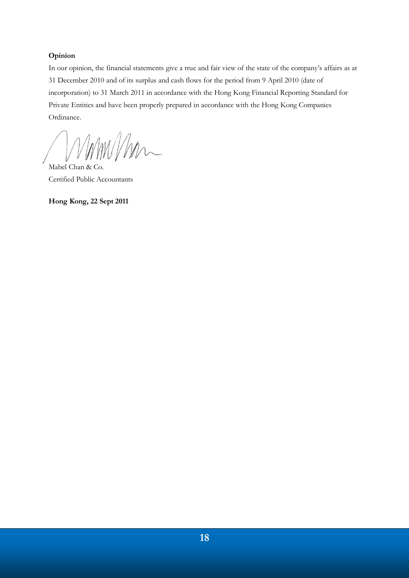## **Opinion**

In our opinion, the financial statements give a true and fair view of the state of the company's affairs as at 31 December 2010 and of its surplus and cash flows for the period from 9 April 2010 (date of incorporation) to 31 March 2011 in accordance with the Hong Kong Financial Reporting Standard for Private Entities and have been properly prepared in accordance with the Hong Kong Companies Ordinance.

Mr

Mabel Chan & Co. Certified Public Accountants

**Hong Kong, 22 Sept 2011**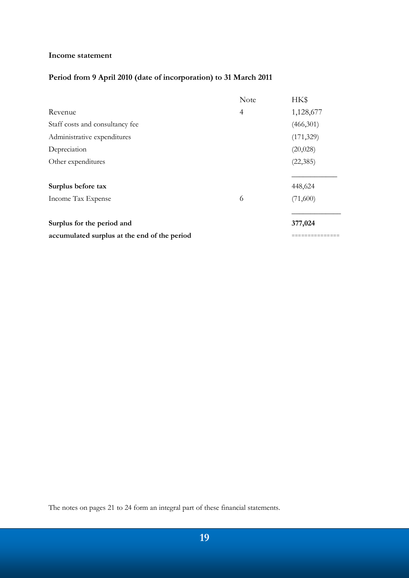## **Income statement**

# **Period from 9 April 2010 (date of incorporation) to 31 March 2011**

|                                              | <b>Note</b> | HK\$       |
|----------------------------------------------|-------------|------------|
| Revenue                                      | 4           | 1,128,677  |
| Staff costs and consultancy fee              |             | (466,301)  |
| Administrative expenditures                  |             | (171, 329) |
| Depreciation                                 |             | (20,028)   |
| Other expenditures                           |             | (22, 385)  |
|                                              |             |            |
| Surplus before tax                           |             | 448,624    |
| Income Tax Expense                           | 6           | (71,600)   |
| Surplus for the period and                   |             | 377,024    |
| accumulated surplus at the end of the period |             |            |

The notes on pages 21 to 24 form an integral part of these financial statements.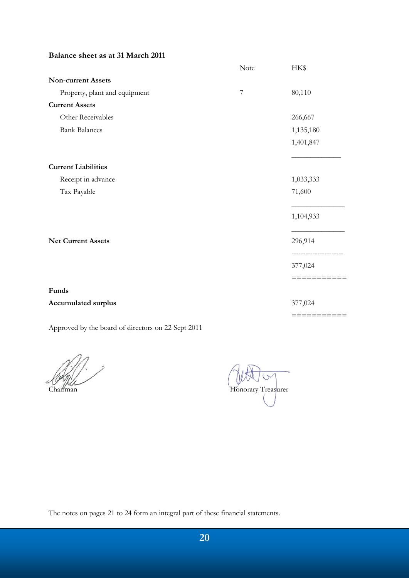**Balance sheet as at 31 March 2011**

|                               | Note | HK\$                 |
|-------------------------------|------|----------------------|
| <b>Non-current Assets</b>     |      |                      |
| Property, plant and equipment | 7    | 80,110               |
| <b>Current Assets</b>         |      |                      |
| Other Receivables             |      | 266,667              |
| <b>Bank Balances</b>          |      | 1,135,180            |
|                               |      | 1,401,847            |
|                               |      |                      |
| <b>Current Liabilities</b>    |      |                      |
| Receipt in advance            |      | 1,033,333            |
| Tax Payable                   |      | 71,600               |
|                               |      |                      |
|                               |      | 1,104,933            |
|                               |      |                      |
| <b>Net Current Assets</b>     |      | 296,914              |
|                               |      | -------------------- |
|                               |      | 377,024              |
|                               |      | ===========          |
| Funds                         |      |                      |
| <b>Accumulated surplus</b>    |      | 377,024              |
|                               |      | ==========           |

Approved by the board of directors on 22 Sept 2011

Chairman Honorary Treasurer

The notes on pages 21 to 24 form an integral part of these financial statements.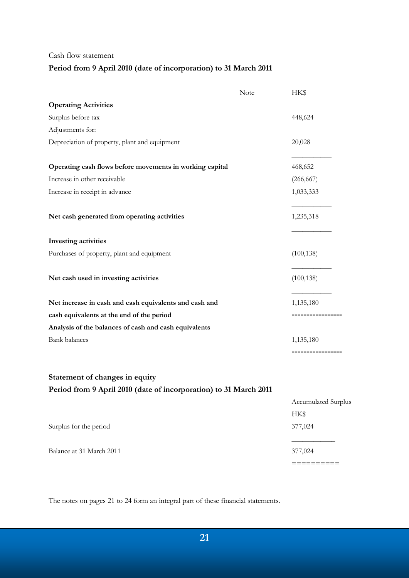Cash flow statement

# **Period from 9 April 2010 (date of incorporation) to 31 March 2011**

|                                                          | Note | HK\$                           |
|----------------------------------------------------------|------|--------------------------------|
| <b>Operating Activities</b>                              |      |                                |
| Surplus before tax                                       |      | 448,624                        |
| Adjustments for:                                         |      |                                |
| Depreciation of property, plant and equipment            |      | 20,028                         |
| Operating cash flows before movements in working capital |      | 468,652                        |
| Increase in other receivable                             |      | (266, 667)                     |
| Increase in receipt in advance                           |      | 1,033,333                      |
| Net cash generated from operating activities             |      | 1,235,318                      |
| Investing activities                                     |      |                                |
| Purchases of property, plant and equipment               |      | (100, 138)                     |
| Net cash used in investing activities                    |      | (100, 138)                     |
| Net increase in cash and cash equivalents and cash and   |      | 1,135,180                      |
| cash equivalents at the end of the period                |      | =================              |
| Analysis of the balances of cash and cash equivalents    |      |                                |
| <b>Bank</b> balances                                     |      | 1,135,180<br>================= |
| Statement of changes in equity                           |      |                                |

# **Period from 9 April 2010 (date of incorporation) to 31 March 2011**

|                          | <b>Accumulated Surplus</b> |  |
|--------------------------|----------------------------|--|
|                          | HK\$                       |  |
| Surplus for the period   | 377,024                    |  |
| Balance at 31 March 2011 | 377,024                    |  |
|                          |                            |  |

The notes on pages 21 to 24 form an integral part of these financial statements.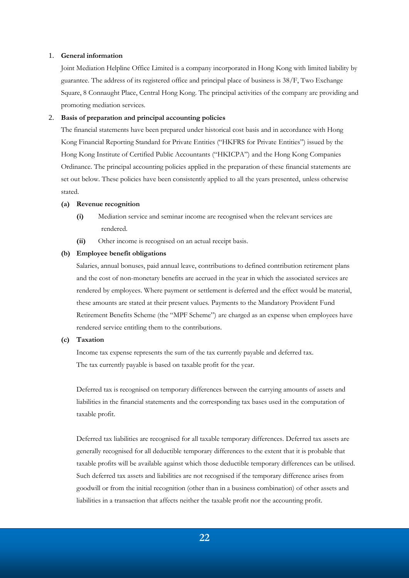#### 1. **General information**

Joint Mediation Helpline Office Limited is a company incorporated in Hong Kong with limited liability by guarantee. The address of its registered office and principal place of business is 38/F, Two Exchange Square, 8 Connaught Place, Central Hong Kong. The principal activities of the company are providing and promoting mediation services.

#### 2. **Basis of preparation and principal accounting policies**

The financial statements have been prepared under historical cost basis and in accordance with Hong Kong Financial Reporting Standard for Private Entities ("HKFRS for Private Entities") issued by the Hong Kong Institute of Certified Public Accountants ("HKICPA") and the Hong Kong Companies Ordinance. The principal accounting policies applied in the preparation of these financial statements are set out below. These policies have been consistently applied to all the years presented, unless otherwise stated.

#### **(a) Revenue recognition**

- **(i)** Mediation service and seminar income are recognised when the relevant services are rendered.
- **(ii)** Other income is recognised on an actual receipt basis.

#### **(b) Employee benefit obligations**

Salaries, annual bonuses, paid annual leave, contributions to defined contribution retirement plans and the cost of non-monetary benefits are accrued in the year in which the associated services are rendered by employees. Where payment or settlement is deferred and the effect would be material, these amounts are stated at their present values. Payments to the Mandatory Provident Fund Retirement Benefits Scheme (the "MPF Scheme") are charged as an expense when employees have rendered service entitling them to the contributions.

#### **(c) Taxation**

Income tax expense represents the sum of the tax currently payable and deferred tax. The tax currently payable is based on taxable profit for the year.

Deferred tax is recognised on temporary differences between the carrying amounts of assets and liabilities in the financial statements and the corresponding tax bases used in the computation of taxable profit.

Deferred tax liabilities are recognised for all taxable temporary differences. Deferred tax assets are generally recognised for all deductible temporary differences to the extent that it is probable that taxable profits will be available against which those deductible temporary differences can be utilised. Such deferred tax assets and liabilities are not recognised if the temporary difference arises from goodwill or from the initial recognition (other than in a business combination) of other assets and liabilities in a transaction that affects neither the taxable profit nor the accounting profit.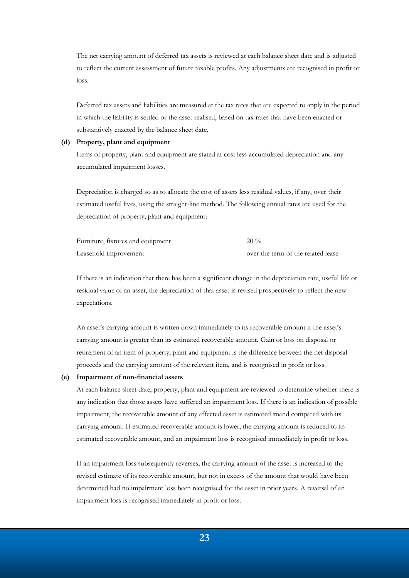The net carrying amount of deferred tax assets is reviewed at each balance sheet date and is adjusted to reflect the current assessment of future taxable profits. Any adjustments are recognised in profit or loss.

Deferred tax assets and liabilities are measured at the tax rates that are expected to apply in the period in which the liability is settled or the asset realised, based on tax rates that have been enacted or substantively enacted by the balance sheet date.

#### **(d) Property, plant and equipment**

Items of property, plant and equipment are stated at cost less accumulated depreciation and any accumulated impairment losses.

Depreciation is charged so as to allocate the cost of assets less residual values, if any, over their estimated useful lives, using the straight-line method. The following annual rates are used for the depreciation of property, plant and equipment:

| Furniture, fixtures and equipment | $20\%$                             |
|-----------------------------------|------------------------------------|
| Leasehold improvement             | over the term of the related lease |

If there is an indication that there has been a significant change in the depreciation rate, useful life or residual value of an asset, the depreciation of that asset is revised prospectively to reflect the new expectations.

An asset's carrying amount is written down immediately to its recoverable amount if the asset's carrying amount is greater than its estimated recoverable amount. Gain or loss on disposal or retirement of an item of property, plant and equipment is the difference between the net disposal proceeds and the carrying amount of the relevant item, and is recognised in profit or loss.

#### **(e) Impairment of non-financial assets**

At each balance sheet date, property, plant and equipment are reviewed to determine whether there is any indication that those assets have suffered an impairment loss. If there is an indication of possible impairment, the recoverable amount of any affected asset is estimated **m**and compared with its carrying amount. If estimated recoverable amount is lower, the carrying amount is reduced to its estimated recoverable amount, and an impairment loss is recognised immediately in profit or loss.

If an impairment loss subsequently reverses, the carrying amount of the asset is increased to the revised estimate of its recoverable amount, but not in excess of the amount that would have been determined had no impairment loss been recognised for the asset in prior years. A reversal of an impairment loss is recognised immediately in profit or loss.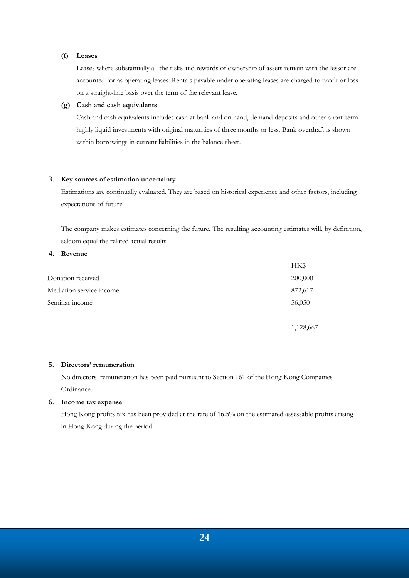### **(f) Leases**

Leases where substantially all the risks and rewards of ownership of assets remain with the lessor are accounted for as operating leases. Rentals payable under operating leases are charged to profit or loss on a straight-line basis over the term of the relevant lease.

### **(g) Cash and cash equivalents**

Cash and cash equivalents includes cash at bank and on hand, demand deposits and other short-term highly liquid investments with original maturities of three months or less. Bank overdraft is shown within borrowings in current liabilities in the balance sheet.

### 3. **Key sources of estimation uncertainty**

Estimations are continually evaluated. They are based on historical experience and other factors, including expectations of future.

The company makes estimates concerning the future. The resulting accounting estimates will, by definition, seldom equal the related actual results

#### 4. **Revenue**

|                          | HK\$      |
|--------------------------|-----------|
| Donation received        | 200,000   |
| Mediation service income | 872,617   |
| Seminar income           | 56,050    |
|                          |           |
|                          | 1,128,667 |
|                          |           |

#### 5. **Directors' remuneration**

No directors' remuneration has been paid pursuant to Section 161 of the Hong Kong Companies Ordinance.

#### 6. **Income tax expense**

Hong Kong profits tax has been provided at the rate of 16.5% on the estimated assessable profits arising in Hong Kong during the period.